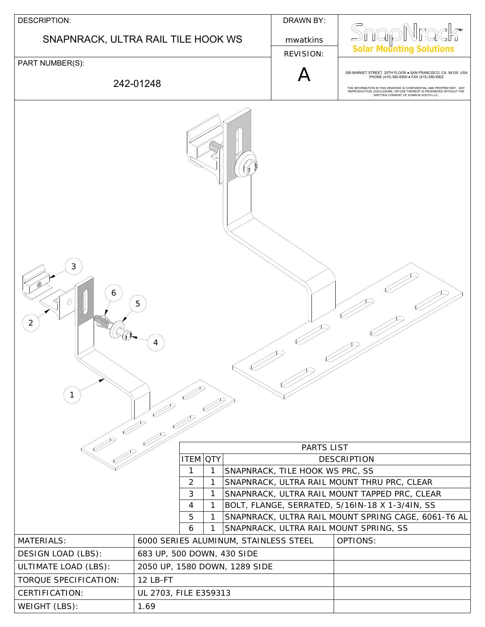| DESCRIPTION:                                                  |                                          | <b>DRAWN BY:</b>                                                               |                                                                                                                                                                                    |
|---------------------------------------------------------------|------------------------------------------|--------------------------------------------------------------------------------|------------------------------------------------------------------------------------------------------------------------------------------------------------------------------------|
|                                                               |                                          |                                                                                | SnapN                                                                                                                                                                              |
|                                                               | SNAPNRACK, ULTRA RAIL TILE HOOK WS       | mwatkins                                                                       | <b>Solar Mounting Solutions</b>                                                                                                                                                    |
| PART NUMBER(S):                                               |                                          | <b>REVISION:</b>                                                               |                                                                                                                                                                                    |
|                                                               | 242-01248                                |                                                                                | 595 MARKET STREET, 29TH FLOOR . SAN FRANCISCO, CA 94105 USA<br>PHONE (415) 580-6900 · FAX (415) 580-6902                                                                           |
|                                                               |                                          |                                                                                | THE INFORMATION IN THIS DRAWING IS CONFIDENTIAL AND PROPRIETARY. ANY<br>REPRODUCTION, DISCLOSURE, OR USE THEREOF IS PROHIBITED WITHOUT THE<br>WRITTEN CONSENT OF SUNRUN SOUTH LLC. |
| 6<br>$5\phantom{.0}$<br>2<br>4<br><b>PRIMER</b><br>PARTS LIST |                                          |                                                                                |                                                                                                                                                                                    |
|                                                               | <b>ITEM OTY</b>                          | <b>DESCRIPTION</b>                                                             |                                                                                                                                                                                    |
|                                                               | 1<br>$\mathbf{1}$<br>2<br>$\overline{1}$ | SNAPNRACK, TILE HOOK WS PRC, SS<br>SNAPNRACK, ULTRA RAIL MOUNT THRU PRC, CLEAR |                                                                                                                                                                                    |
|                                                               | 3<br>$\overline{1}$                      | SNAPNRACK, ULTRA RAIL MOUNT TAPPED PRC, CLEAR                                  |                                                                                                                                                                                    |
|                                                               | $\overline{4}$<br>$\overline{1}$         | BOLT, FLANGE, SERRATED, 5/16IN-18 X 1-3/4IN, SS                                |                                                                                                                                                                                    |
|                                                               | 5<br>$\overline{1}$                      | SNAPNRACK, ULTRA RAIL MOUNT SPRING CAGE, 6061-T6 AL                            |                                                                                                                                                                                    |
| 6<br>SNAPNRACK, ULTRA RAIL MOUNT SPRING, SS<br>1              |                                          |                                                                                |                                                                                                                                                                                    |
| <b>MATERIALS:</b>                                             | 6000 SERIES ALUMINUM, STAINLESS STEEL    |                                                                                | OPTIONS:                                                                                                                                                                           |
| DESIGN LOAD (LBS):                                            | 683 UP, 500 DOWN, 430 SIDE               |                                                                                |                                                                                                                                                                                    |
| ULTIMATE LOAD (LBS):                                          | 2050 UP, 1580 DOWN, 1289 SIDE            |                                                                                |                                                                                                                                                                                    |
| TORQUE SPECIFICATION:                                         | 12 LB-FT                                 |                                                                                |                                                                                                                                                                                    |
| CERTIFICATION:                                                | UL 2703, FILE E359313                    |                                                                                |                                                                                                                                                                                    |
| WEIGHT (LBS):                                                 | 1.69                                     |                                                                                |                                                                                                                                                                                    |